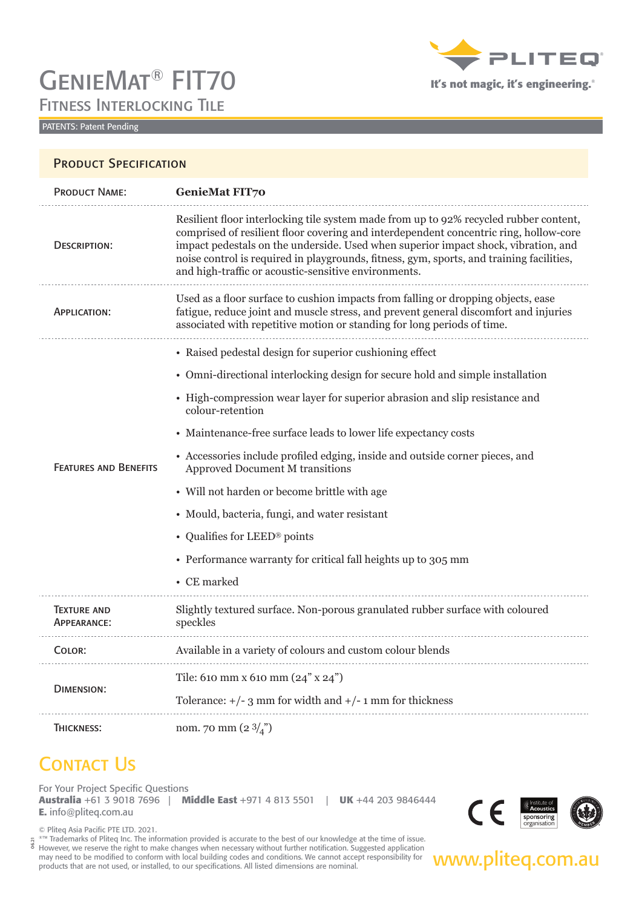# GenieMat® FIT70 Fitness Interlocking Tile



**It's not magic, it's engineering.**®

#### PATENTS: Patent Pending

|                                   | <b>PRODUCT SPECIFICATION</b>                                                                                                                                                                                                                                                                                                                                                                                             |  |
|-----------------------------------|--------------------------------------------------------------------------------------------------------------------------------------------------------------------------------------------------------------------------------------------------------------------------------------------------------------------------------------------------------------------------------------------------------------------------|--|
| <b>PRODUCT NAME:</b>              | <b>GenieMat FIT70</b>                                                                                                                                                                                                                                                                                                                                                                                                    |  |
| DESCRIPTION:                      | Resilient floor interlocking tile system made from up to 92% recycled rubber content,<br>comprised of resilient floor covering and interdependent concentric ring, hollow-core<br>impact pedestals on the underside. Used when superior impact shock, vibration, and<br>noise control is required in playgrounds, fitness, gym, sports, and training facilities,<br>and high-traffic or acoustic-sensitive environments. |  |
| APPLICATION:                      | Used as a floor surface to cushion impacts from falling or dropping objects, ease<br>fatigue, reduce joint and muscle stress, and prevent general discomfort and injuries<br>associated with repetitive motion or standing for long periods of time.                                                                                                                                                                     |  |
|                                   | • Raised pedestal design for superior cushioning effect                                                                                                                                                                                                                                                                                                                                                                  |  |
|                                   | • Omni-directional interlocking design for secure hold and simple installation                                                                                                                                                                                                                                                                                                                                           |  |
| <b>FEATURES AND BENEFITS</b>      | • High-compression wear layer for superior abrasion and slip resistance and<br>colour-retention                                                                                                                                                                                                                                                                                                                          |  |
|                                   | • Maintenance-free surface leads to lower life expectancy costs                                                                                                                                                                                                                                                                                                                                                          |  |
|                                   | • Accessories include profiled edging, inside and outside corner pieces, and<br><b>Approved Document M transitions</b>                                                                                                                                                                                                                                                                                                   |  |
|                                   | • Will not harden or become brittle with age                                                                                                                                                                                                                                                                                                                                                                             |  |
|                                   | • Mould, bacteria, fungi, and water resistant                                                                                                                                                                                                                                                                                                                                                                            |  |
|                                   | • Qualifies for LEED® points                                                                                                                                                                                                                                                                                                                                                                                             |  |
|                                   | • Performance warranty for critical fall heights up to 305 mm                                                                                                                                                                                                                                                                                                                                                            |  |
|                                   | • CE marked                                                                                                                                                                                                                                                                                                                                                                                                              |  |
| <b>TEXTURE AND</b><br>APPEARANCE: | Slightly textured surface. Non-porous granulated rubber surface with coloured<br>speckles                                                                                                                                                                                                                                                                                                                                |  |
| COLOR:                            | Available in a variety of colours and custom colour blends                                                                                                                                                                                                                                                                                                                                                               |  |
|                                   | Tile: 610 mm x 610 mm (24" x 24")                                                                                                                                                                                                                                                                                                                                                                                        |  |
| <b>DIMENSION:</b>                 | Tolerance: $+/- 3$ mm for width and $+/- 1$ mm for thickness                                                                                                                                                                                                                                                                                                                                                             |  |
| THICKNESS:                        | nom. 70 mm (2 $3\binom{n}{4}$                                                                                                                                                                                                                                                                                                                                                                                            |  |

### **CONTACT US**

For Your Project Specific Questions **Australia** +61 3 9018 7696 | **Middle East** +971 4 813 5501 | **UK** +44 203 9846444 **E.** info@pliteq.com.au



© Pliteq Asia Pacific PTE LTD. 2021.

However, we reserve the right to make changes when necessary without further notification. Suggested application<br>may need to be modified to conform with local building codes and conditions. We cannot accept responsibility ®™ Trademarks of Pliteq Inc. The information provided is accurate to the best of our knowledge at the time of issue. may need to be modified to conform with local building codes and conditions. We cannot accept responsibility for products that are not used, or installed, to our specifications. All listed dimensions are nominal. 06.21